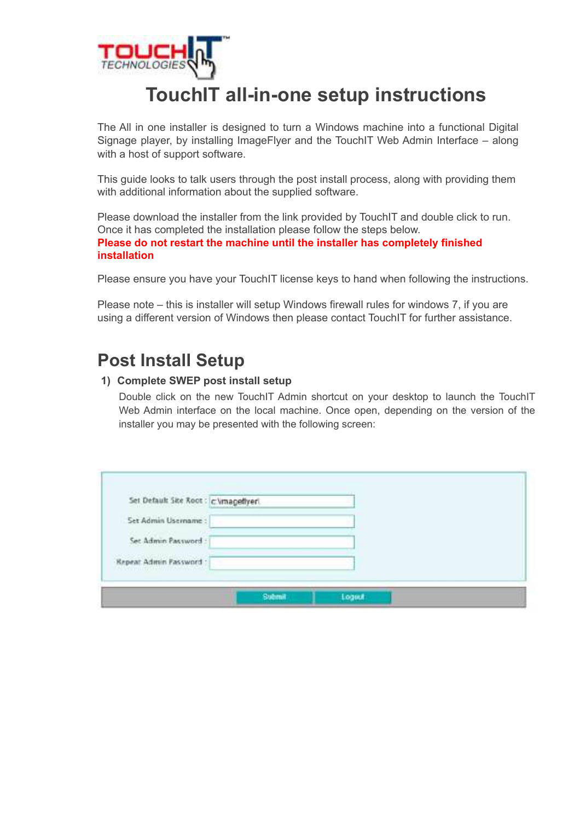

# **TouchIT all-in-one setup instructions**

The All in one installer is designed to turn a Windows machine into a functional Digital Signage player, by installing ImageFlyer and the TouchIT Web Admin Interface – along with a host of support software.

This guide looks to talk users through the post install process, along with providing them with additional information about the supplied software.

Please download the installer from the link provided by TouchIT and double click to run. Once it has completed the installation please follow the steps below. **Please do not restart the machine until the installer has completely finished installation**

Please ensure you have your TouchIT license keys to hand when following the instructions.

Please note – this is installer will setup Windows firewall rules for windows 7, if you are using a different version of Windows then please contact TouchIT for further assistance.

## **Post Install Setup**

#### **1) Complete SWEP post install setup**

Double click on the new TouchIT Admin shortcut on your desktop to launch the TouchIT Web Admin interface on the local machine. Once open, depending on the version of the installer you may be presented with the following screen:

| Set Default Site Root : c \magellyeri.                                                  |  |  |
|-----------------------------------------------------------------------------------------|--|--|
| Set Admin Username:                                                                     |  |  |
| Set Admin Password :                                                                    |  |  |
| <b>Repeat Admin Password</b><br>And the first property of the control of the control of |  |  |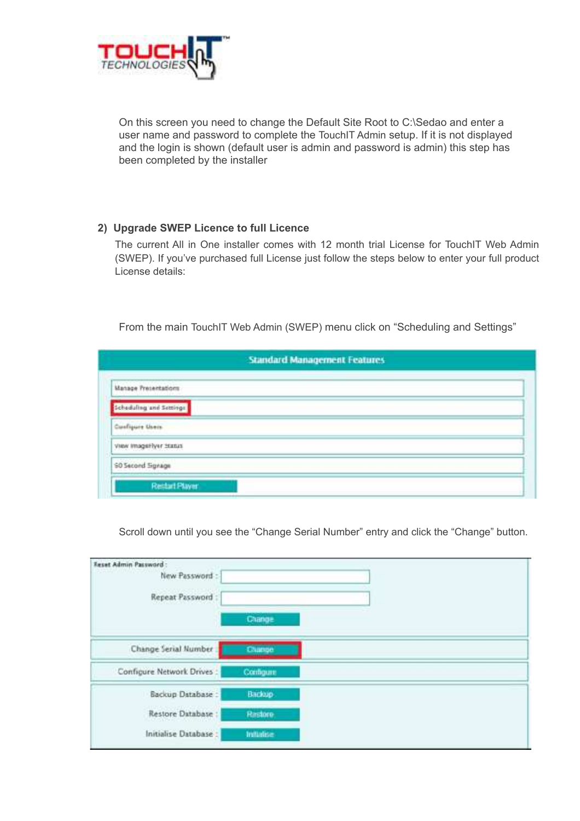

On this screen you need to change the Default Site Root to C:\Sedao and enter a user name and password to complete the TouchIT Admin setup. If it is not displayed and the login is shown (default user is admin and password is admin) this step has been completed by the installer

#### **2) Upgrade SWEP Licence to full Licence**

The current All in One installer comes with 12 month trial License for TouchIT Web Admin (SWEP). If you've purchased full License just follow the steps below to enter your full product License details:

From the main TouchIT Web Admin (SWEP) menu click on "Scheduling and Settings"

| <b>Standard Management Features</b> |  |  |  |
|-------------------------------------|--|--|--|
| <b>Manage Presentations</b>         |  |  |  |
| Scheduling and Settings             |  |  |  |
| Custiques Users                     |  |  |  |
| view imageriyer Status              |  |  |  |
| <b>60 Second Signage</b>            |  |  |  |
| Restart Player                      |  |  |  |

Scroll down until you see the "Change Serial Number" entry and click the "Change" button.

| <b>Feset Admin Password:</b><br><b>Provident Control</b><br>New Password:<br>Repeat Password: |            |  |
|-----------------------------------------------------------------------------------------------|------------|--|
|                                                                                               | Change     |  |
| Change Serial Number                                                                          | Change.    |  |
| Configure Network Drives:                                                                     | Configure  |  |
| Backup Database:                                                                              | Backup     |  |
| Restore Database:                                                                             | Rastore.   |  |
| Initialise Database:                                                                          | Inflation. |  |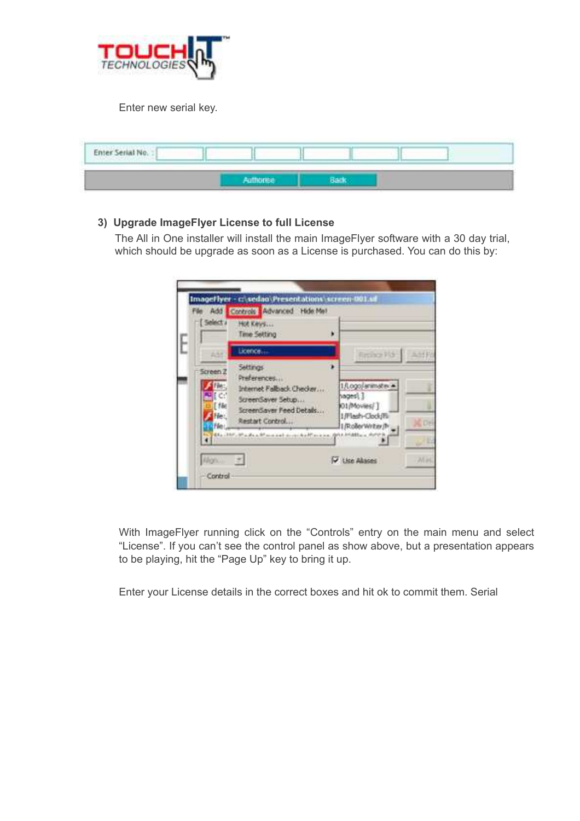

Enter new serial key.

| Enter Serial No. : |                  |  |  |  |
|--------------------|------------------|--|--|--|
|                    | <b>ISBN 1986</b> |  |  |  |

#### **3) Upgrade ImageFlyer License to full License**

The All in One installer will install the main ImageFlyer software with a 30 day trial, which should be upgrade as soon as a License is purchased. You can do this by:



With ImageFlyer running click on the "Controls" entry on the main menu and select "License". If you can't see the control panel as show above, but a presentation appears to be playing, hit the "Page Up" key to bring it up.

Enter your License details in the correct boxes and hit ok to commit them. Serial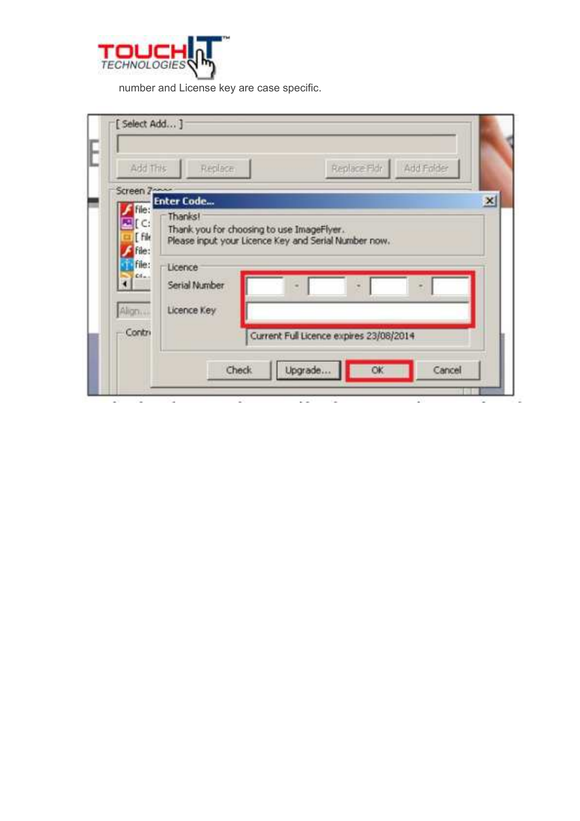

number and License key are case specific.

| Add This            | Replace Fldr<br>Replace                              | Add Folder          |
|---------------------|------------------------------------------------------|---------------------|
| Screen 7-<br>file:  | <b>Enter Code</b>                                    | $\mathbf{x}$        |
| EL C:<br>[ File     | Thanks!<br>Thank you for choosing to use ImageFlyer. |                     |
| file:               | Please input your Licence Key and Serial Number now. |                     |
| file:<br>$Cf_{max}$ | Licence<br>Serial Number                             |                     |
| Align               | Licence Key                                          |                     |
| - Contri            | Current Full Licence expires 23/08/2014              |                     |
|                     | Upgrade<br>Check.                                    | <b>OK</b><br>Cancel |